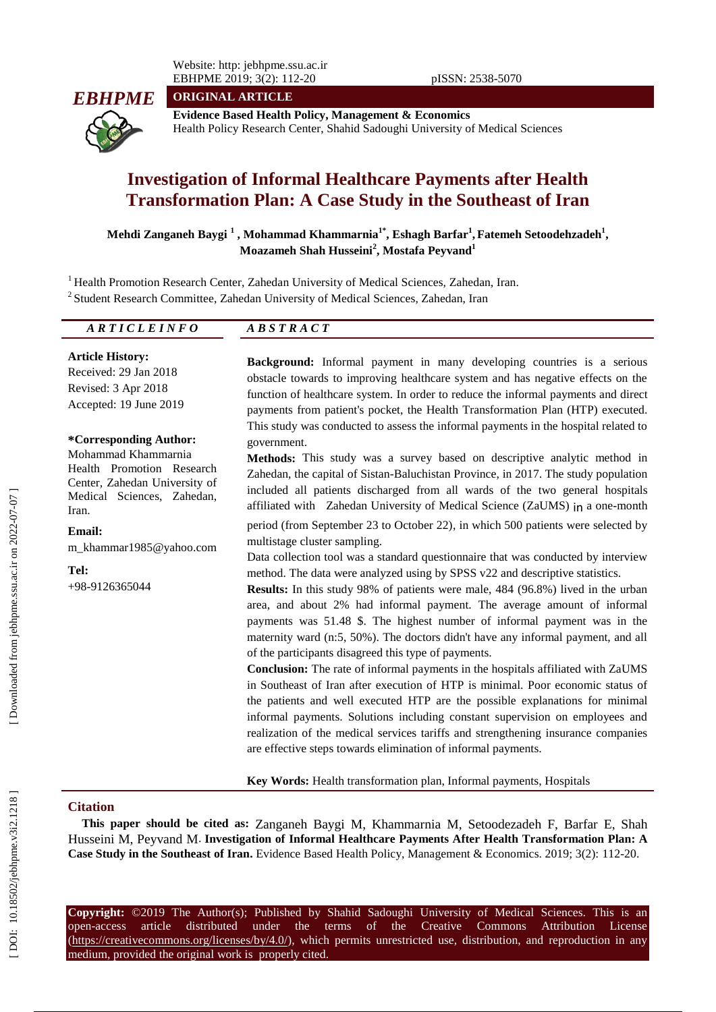Website: http: jebhpme.ssu.ac.ir EBHPME 2019; 3(2): 112-2 0 pISSN: 2538-5070

**ORIGINAL ARTICLE**



**Evidence Based Health Policy, Management & Economics** Health Policy Research Center, Shahid Sadoughi University of Medical Sciences

# Investigation of Informal Healthcare Payments after Health **Transformation Plan: A Case Study in the Southeast of Iran**

**Mehdi Zanganeh Baygi 1 , Mohammad Khammarnia 1 \* , Eshagh Barfar 1 , Fateme h Setoode hzadeh 1 , Moazameh Shah Husseini 2 , Mostafa Peyvand 1**

<sup>1</sup> Health Promotion Research Center, Zahedan University of Medical Sciences, Zahedan, Iran.

<sup>2</sup> Student Research Committee, Zahedan University of Medical Sciences, Zahedan, Iran

| מתות תורת ה<br>.<br><u>.</u><br>. . | די ד<br>$\cdots$<br>$\overline{\phantom{a}}$<br>---- |  |
|-------------------------------------|------------------------------------------------------|--|

**Article History:** Received: 29 Jan 201 8 Revised: 3 Apr 2018 Accepted: 19 June 201 9

## **\*Corresponding Author:**

Mohammad Khammarnia Health Promotion Research Center, Zahedan University of Medical Sciences, Zahedan, Iran.

#### **Email:**

m\_khammar1985@yahoo.com

**Tel:** +98 -9126365044 **Background:** Informal payment in many developing countries is a serious obstacle towards to improving healthcare system and has negative effects on the function of healthcare system. In order to reduce the informal payments and direct payments from patient's pocket, the Health Transformation Plan (HTP) executed. This study was conducted to assess the informal payments in the hospital related to government.

**Methods:** This study was a survey based on descriptive analytic method in Zahedan, the capital of Sistan -Baluchistan Province , in 2017. The study population included all patients discharged from all wards of the two genera l hospitals affiliated with Zahedan University of Medical Science (ZaUMS) in a one -month period (from September 23 to October 22), in which 500 patients were selected by

multistage cluster sampling. Data collection tool was a standard questionnaire that was conducted by interview method. The data were analyzed using by SPSS v22 and descriptive statistics.

**Results:** In this study 98% of patients were male, 484 (96.8%) lived in the urban area, and about 2% had informal payment. The average amount of informal payments was 51.48 \$. The highest number of informal payment was in the maternity ward (n:5, 50% ) . The doctors didn't have any informal payment, and all of the participants disagreed this type of payments.

**Conclusion:** The rate of informal payments in the hospitals affiliated with Z aUMS in Southeast of Iran after execution of HTP is minimal. Poor economic status of the patients and well executed HTP are the possible explanations for minimal informal payments. Solutions including constant supervision on employees and realization of the medical services tariffs and strengthening insurance companies are effective steps towards elimination of informal payments.

**Key Words:** Health transformation plan, Informal payments, Hospitals

# **Citation**

**This paper should be cited as:** Zanganeh Baygi M , Khammarnia M, Setoodezadeh F, Barfar E, Shah Husseini M, Peyvand M. Investigation of Informal Healthcare Payments After Health Transformation Plan: A Case Study in the Southeast of Iran. Evidence Based Health Policy, Management & Economics. 2019; 3(2): 112-20.

**Copyright:** ©201 9 The Author(s); Published by Shahid Sadoughi University of Medical Sciences. This is an open-access -access article distributed under the terms of the Creative Commons Attribution License  $(\text{https://creativecommons.org/licenses/by/4.0/">https://creativecommons.org/licenses/by/4.0/$ ), which permits unrestricted use, distribution, and reproduction in anymedium, provided the original work is properly cited.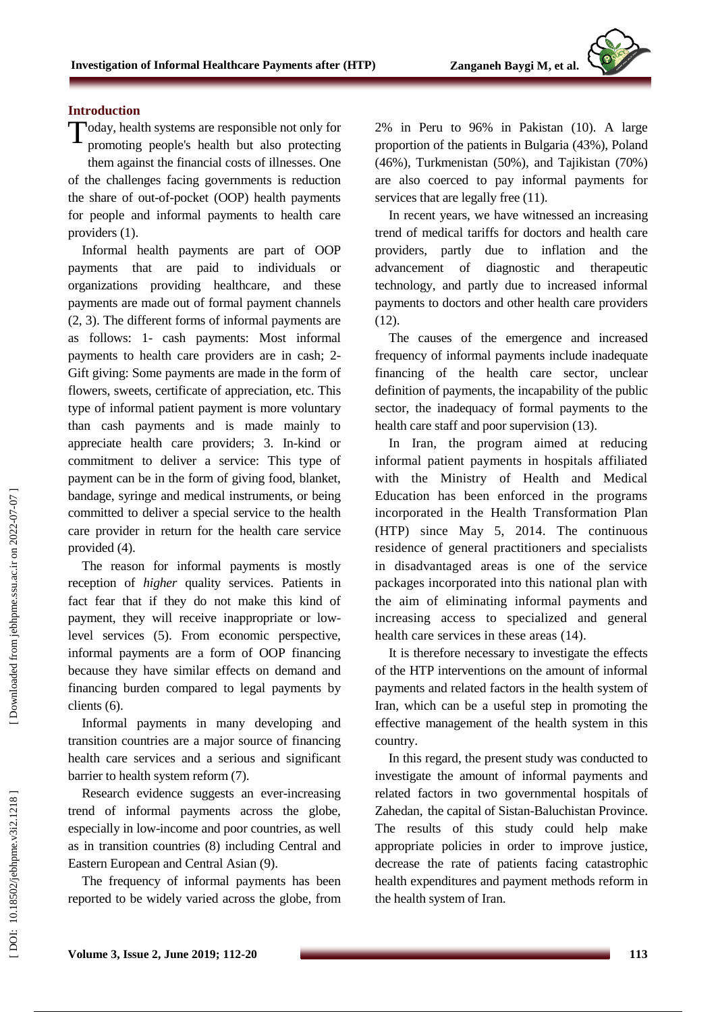# **Introduction**

Today, health systems are responsible not only for<br>promoting people's health but also protecting promoting people's health but also protecting them against the financial costs of illnesses. One of the challenges facing governments is reduction the share of out -of-pocket (OOP) health payments for people and informal payments to health care providers (1).

Informal health payments are part of OOP payments that are paid to individuals or organizations providing healthcare, and these payments are made out of formal payment channels (2, 3). The different forms of informal payments are as follows: 1 - cash payments: Most informal payments to health care providers are in cash; 2 - Gift giving: Some payments are made in the form of flowers, sweets, certificate of appreciation, etc. This type of informal patient payment is more voluntary than cash payments and is made mainly to appreciate health care providers; 3. In -kind or commitment to deliver a service: This type of payment can be in the form of giving food, blanket, bandage, syringe and medical instruments, or being committed to deliver a special service to the health care provider in return for the health care service provided (4).

The reason for informal payments is mostly reception of *higher* quality services. Patients in fact fear that if they do not make this kind of payment, they will receive inappropriate or low level services (5). From economic perspective, informal payments are a form of OOP financing because they have similar effects on demand and financing burden compared to legal payments by clients (6).

Informal payments in many developing and transition countries are a major source of financing health care services and a serious and significant barrier to health system reform (7).

Research evidence suggests an ever -increasing trend of informal payments across the globe, especially in low -income and poor countries, as well as in transition countries (8) including Central and Eastern European and Central Asian (9).

The frequency of informal payments has been reported to be widely varied across the globe, from

2% in Peru to 96% in Pakistan (10). A large proportion of the patients in Bulgaria (43%), Poland (46%), Turkmenistan (50%), and Tajikistan (70%) are also coerced to pay informal payments for services that are legally free  $(11)$ .

In recent years, we have witnessed an increasing trend of medical tariffs for doctors and health care providers, partly due to inflation and the advancement of diagnostic and therapeutic technology, and partly due to increased informal payments to doctors and other health care providers (12).

The causes of the emergence and increased frequency of informal payments include inadequate financing of the health care sector, unclear definition of payments, the incapability of the public sector, the inadequacy of formal payments to the health care staff and poor supervision (13).

In Iran, the program aimed at reducing informal patient payments in hospitals affiliated with the Ministry of Health and Medical Education has been enforced in the programs incorporated in the Health Transformation Plan (HTP) since May 5, 2014. The continuous residence of general practitioners and specialists in disadvantaged areas is one of the service packages incorporated into this national plan with the aim of eliminating informal payments and increasing access to specialized and general health care services in these areas (14).

It is therefore necessary to investigate the effects of the HTP interventions on the amount of informal payments and related factors in the health system of Iran, which can be a useful step in promoting the effective management of the health system in this country.

In this regard, the present study was conducted to investigate the amount of informal payments and related factors in two governmental hospitals of Zahedan , the capital of Sistan -Baluchistan Province. The results of this study could help make appropriate policies in order to improve justice, decrease the rate of patient s facing catastrophic health expenditures and payment methods reform in the health system of Iran.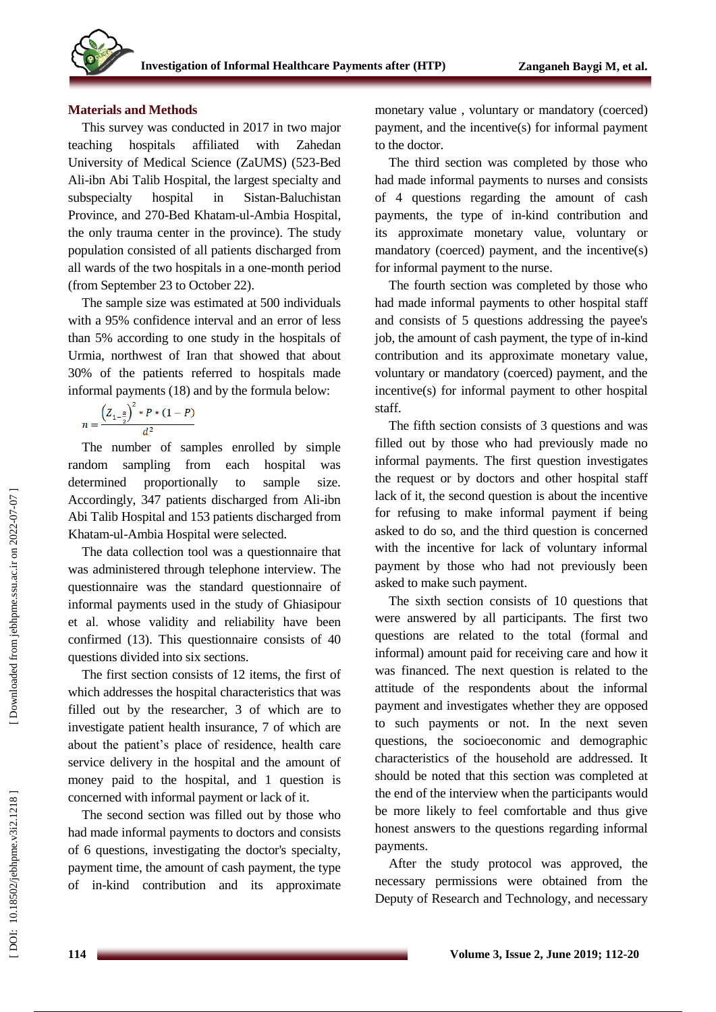## **Materials and Methods**

This survey was conducted in 2017 in two major teaching hospitals affiliated with Zahedan University of Medical Science (ZaUMS) (523 -Bed Ali -ibn Abi Talib Hospital, the largest specialty and subspecialty hospital in Sistan-Baluchistan Province, and 270 -Bed Khatam -ul -Ambia Hospital, the only trauma center in the province). The study population consisted of all patients discharged from all wards of the two hospitals in a one -month period (from September 23 to October 22 ).

The sample size was estimated at 500 individuals with a 95% confidence interval and an error of less than 5% according to one study in the hospitals of Urmia, northwest of Iran that showed that about 30% of the patients referred to hospitals made informal payments (18) and by the formula below:

$$
n = \frac{\left(Z_{1-\frac{\alpha}{2}}\right)^{2} * P * (1-P)}{d^{2}}
$$

The number of samples enrolled by simple random sampling from each hospital was determined proportionally to sample size. Accordingly, 347 patients discharged from Ali -ibn Abi Talib Hospital and 153 patients discharged from Khatam -ul -Ambia Hospital were selected.

The data collection tool was a questionnaire that was administered through telephone interview. The questionnaire was the standard questionnaire of informal payments used in the study of Ghiasipour et al . whose validity and reliability have been confirmed (13). This questionnaire consists of 40 questions divided into six sections.

The first section consists of 12 items, the first of which addresses the hospital characteristics that was filled out by the researcher, 3 of which are to investigate patient health insurance, 7 of which are about the patient's place of residence, health care service delivery in the hospital and the amount of money paid to the hospital, and 1 question is concerned with informal payment or lack of it.

The second section was filled out by those who had made informal payments to doctors and consists of 6 questions, investigating the doctor's specialty, payment time, the amount of cash payment, the type of in -kind contribution and its approximate monetary value , voluntary or mandatory (coerced) payment, and the incentive(s) for informal payment to the doctor.

The third section was completed by those who had made informal payments to nurses and consists of 4 questions regarding the amount of cash payments, the type of in -kind contribution and its approximate monetary value, voluntary or mandatory (coerced) payment, and the incentive(s) for informal payment to the nurse.

The fourth section was completed by those who had made informal payments to other hospital staff and consists of 5 questions addressing the payee's job, the amount of cash payment, the type of in-kind contribution and its approximate monetary value, voluntary or mandatory (coerced) payment, and the incentive(s) for informal payment to other hospital staff.

The fifth section consists of 3 questions and was filled out by those who had previously made no informal payments. The first question investigates the request or by doctors and other hospital staff lack of it, the second question is about the incentive for refusing to make informal payment if being asked to do so, and the third question is concerned with the incentive for lack of voluntary informal payment by those who had not previously been asked to make such payment.

The sixth section consists of 10 questions that were answered by all participants. The first two questions are related to the total (formal and informal) amount paid for receiving care and how it was financed. The next question is related to the attitude of the respondents about the informal payment and investigates whether they are opposed to such payments or not. In the next seven questions, the socioeconomic and demographic characteristics of the household are addressed. It should be noted that this section was completed at the end of the interview when the participants would be more likely to feel comfortable and thus give honest answers to the questions regarding informal payments.

After the study protocol was approved, the necessary permissions were obtained from the Deputy of Research and Technology, and necessary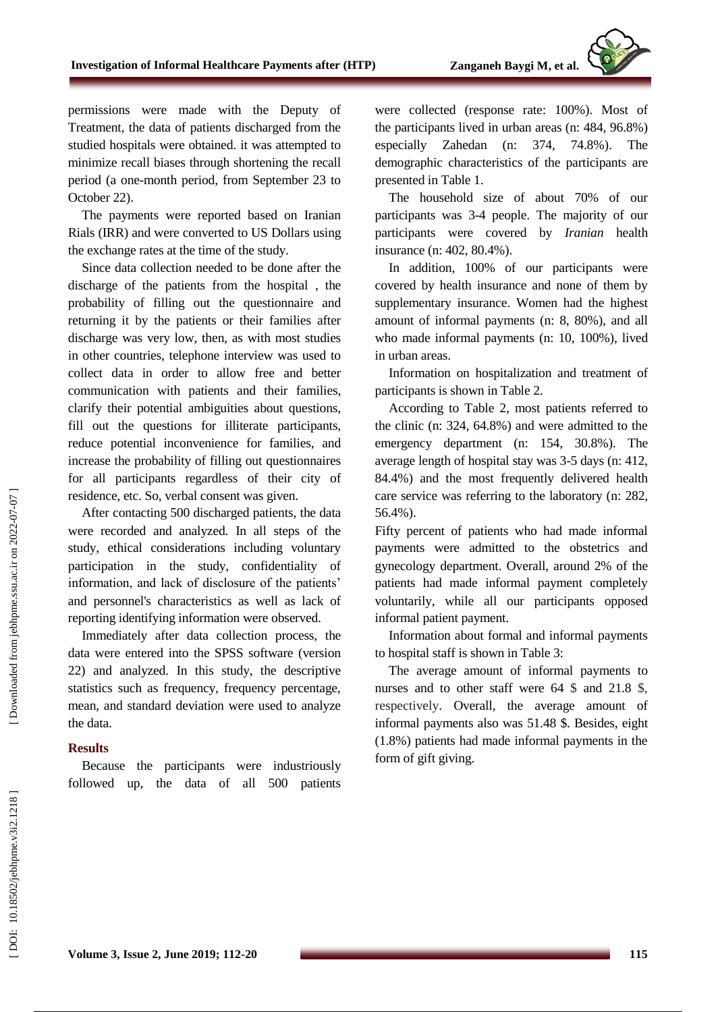permissions were made with the Deputy of Treatment, the data of patients discharged from the studied hospitals were obtained. it was attempted to minimize recall biases through shortening the recall period (a one -month period, from September 23 to October 22).

The payments were reported based on Iranian Rials (IRR) and were converted to US Dollars using the exchange rates at the time of the study .

Since data collection needed to be done after the discharge of the patients from the hospital , the probability of filling out the questionnaire and returning it by the patients or their families after discharge was very low, then, as with most studies in other countries, telephone interview was used to collect data in order to allow free and better communication with patients and their families, clarify their potential ambiguities about questions, fill out the questions for illiterate participants, reduce potential inconvenience for families, and increase the probability of filling out questionnaires for all participants regardless of their city of residence, etc. So, verbal consent was given.

After contacting 500 discharged patients, the data were recorded and analyzed. In all steps of the study, ethical considerations including voluntary participation in the study, confidentiality of information, and lack of disclosure of the patients' and personnel's characteristics as well as lack of reporting identifying information were observed.

Immediately after data collection process, the data were entered into the SPSS software (version 22) and analyzed. In this study, the descriptive statistics such as frequency, frequency percentage, mean, and standard deviation were used to analyze the data .

### **Results**

Because the participants were industriously followed up, the data of all 500 patients were collected (response rate: 100%). Most of the participants lived in urban areas (n: 484, 96.8%) especially Zahedan (n: 374, 74.8%). The demographic characteristics of the participants are presented in Table 1.

The household size of about 70% of our participants was 3 -4 people. The majority of our participants were covered by *Iranian* health insurance (n: 402, 80.4%).

In addition, 100% of our participants were covered by health insurance and none of them by supplementary insurance. Women had the highest amount of informal payments (n: 8, 80 % ), and all who made informal payments (n: 10, 100%), lived in urban areas.

Information on hospitalization and treatment of participants is shown in Table 2.

According to Table 2, most patients referred to the clinic (n: 324, 64.8%) and were admitted to the emergency department (n: 154, 30.8%). The average length of hospital stay was 3 -5 days (n: 412, 84.4%) and the most frequently delivered health care service was referring to the laboratory (n: 282, 56.4%).

Fifty percent of patients who had made informal payments were admitted to the obstetrics and gynecology department. Overall, around 2% of the patients had made informal payment completely voluntarily, while all our participants opposed informal patient payment.

Information about formal and informal payments to hospital staff is shown in Table 3:

The average amount of informal payments to nurses and to other staff were 64 \$ and 21.8 \$, respectively . Overall, the average amount of informal payments also was 51.48 \$. Besides, eight (1.8%) patients had made informal payments in the form of gift giving.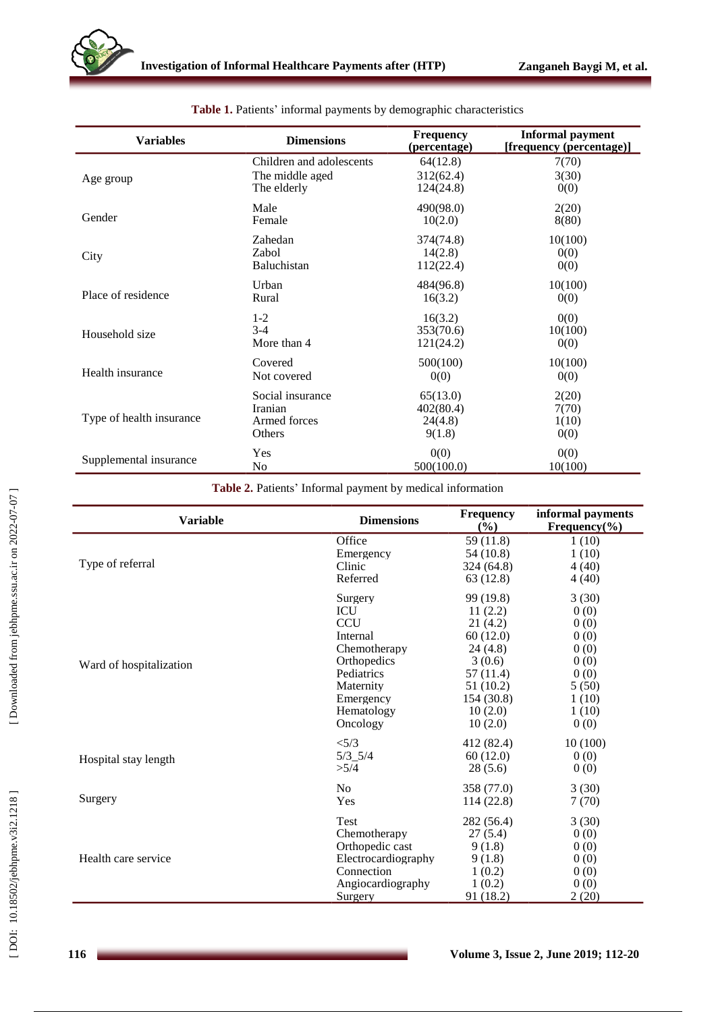| <b>Variables</b>         | <b>Dimensions</b>        | <b>Frequency</b><br>(percentage) | <b>Informal payment</b><br>[frequency (percentage)] |
|--------------------------|--------------------------|----------------------------------|-----------------------------------------------------|
| Age group                | Children and adolescents | 64(12.8)                         | 7(70)                                               |
|                          | The middle aged          | 312(62.4)                        | 3(30)                                               |
|                          | The elderly              | 124(24.8)                        | 0(0)                                                |
| Gender                   | Male                     | 490(98.0)                        | 2(20)                                               |
|                          | Female                   | 10(2.0)                          | 8(80)                                               |
| City                     | Zahedan                  | 374(74.8)                        | 10(100)                                             |
|                          | Zabol                    | 14(2.8)                          | 0(0)                                                |
|                          | Baluchistan              | 112(22.4)                        | 0(0)                                                |
| Place of residence       | Urban                    | 484(96.8)                        | 10(100)                                             |
|                          | Rural                    | 16(3.2)                          | 0(0)                                                |
| Household size           | $1 - 2$                  | 16(3.2)                          | 0(0)                                                |
|                          | $3-4$                    | 353(70.6)                        | 10(100)                                             |
|                          | More than 4              | 121(24.2)                        | 0(0)                                                |
| Health insurance         | Covered                  | 500(100)                         | 10(100)                                             |
|                          | Not covered              | 0(0)                             | 0(0)                                                |
| Type of health insurance | Social insurance         | 65(13.0)                         | 2(20)                                               |
|                          | Iranian                  | 402(80.4)                        | 7(70)                                               |
|                          | Armed forces             | 24(4.8)                          | 1(10)                                               |
|                          | Others                   | 9(1.8)                           | 0(0)                                                |
| Supplemental insurance   | Yes                      | 0(0)                             | 0(0)                                                |
|                          | No                       | 500(100.0)                       | 10(100)                                             |

#### **Table 1.** Patients' informal payments by demographic characteristics

## **Table 2.** Patients' Informal payment by medical information

| <b>Variable</b>         | <b>Dimensions</b>   | <b>Frequency</b><br>(%) | informal payments<br>Frequency $(\% )$ |
|-------------------------|---------------------|-------------------------|----------------------------------------|
|                         | Office              | 59 (11.8)               | 1(10)                                  |
|                         | Emergency           | 54(10.8)                | 1(10)                                  |
| Type of referral        | Clinic              | 324(64.8)               | 4(40)                                  |
|                         | Referred            | 63 (12.8)               | 4(40)                                  |
|                         | Surgery             | 99 (19.8)               | 3(30)                                  |
|                         | <b>ICU</b>          | 11(2.2)                 | 0(0)                                   |
|                         | <b>CCU</b>          | 21 (4.2)                | 0(0)                                   |
|                         | Internal            | 60(12.0)                | 0(0)                                   |
|                         | Chemotherapy        | 24(4.8)                 | 0(0)                                   |
| Ward of hospitalization | Orthopedics         | 3(0.6)                  | 0(0)                                   |
|                         | Pediatrics          | 57 (11.4)               | 0(0)                                   |
|                         | Maternity           | 51 (10.2)               | 5(50)                                  |
|                         | Emergency           | 154 (30.8)              | 1(10)                                  |
|                         | Hematology          | 10(2.0)                 | 1(10)                                  |
|                         | Oncology            | 10(2.0)                 | 0(0)                                   |
|                         | < 5/3               | 412 (82.4)              | 10(100)                                |
| Hospital stay length    | $5/3$ $5/4$         | 60(12.0)                | 0(0)                                   |
|                         | >5/4                | 28(5.6)                 | 0(0)                                   |
|                         | N <sub>o</sub>      | 358 (77.0)              | 3(30)                                  |
| Surgery                 | Yes                 | 114(22.8)               | 7(70)                                  |
|                         | <b>Test</b>         | 282 (56.4)              | 3(30)                                  |
|                         | Chemotherapy        | 27(5.4)                 | 0(0)                                   |
|                         | Orthopedic cast     | 9(1.8)                  | 0(0)                                   |
| Health care service     | Electrocardiography | 9(1.8)                  | 0(0)                                   |
|                         | Connection          | 1(0.2)                  | 0(0)                                   |
|                         | Angiocardiography   | 1(0.2)                  | 0(0)                                   |
|                         | Surgery             | 91(18.2)                | 2(20)                                  |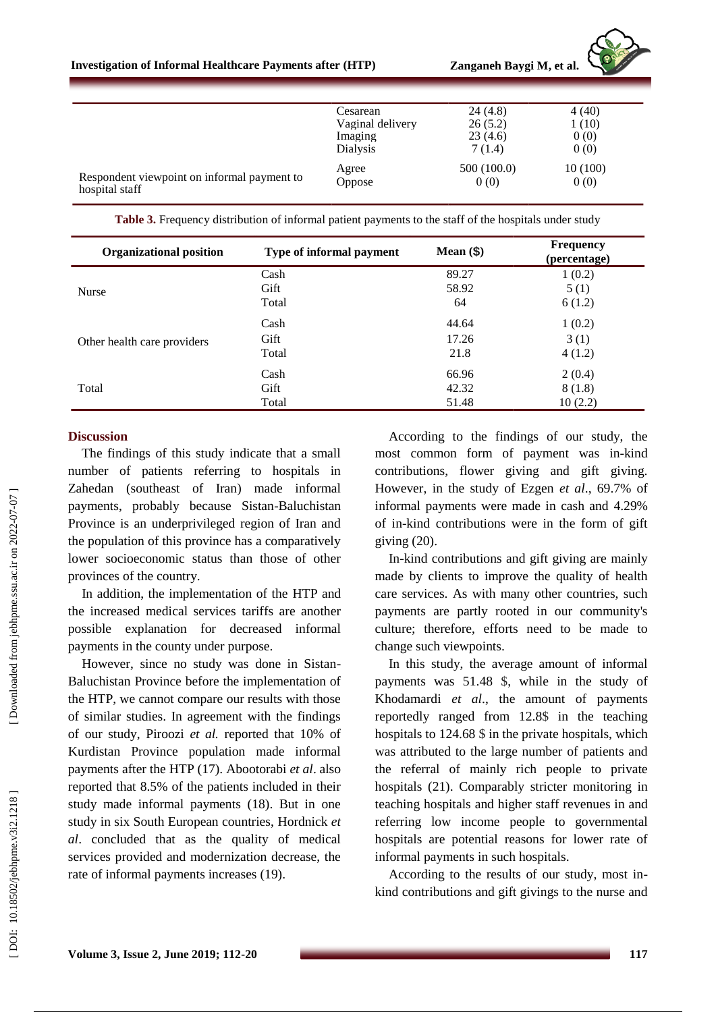

|                                                               | Cesarean         | 24(4.8)     | 4(40)   |
|---------------------------------------------------------------|------------------|-------------|---------|
|                                                               | Vaginal delivery | 26(5.2)     | 1(10)   |
|                                                               | Imaging          | 23(4.6)     | 0(0)    |
|                                                               | Dialysis         | 7(1.4)      | 0(0)    |
|                                                               | Agree            | 500 (100.0) | 10(100) |
| Respondent viewpoint on informal payment to<br>hospital staff | Oppose           | 0(0)        | 0(0)    |

**Table 3.** Frequency distribution of informal patient payments to the staff of the hospitals under study

| <b>Organizational position</b> | Type of informal payment | Mean $(§)$ | <b>Frequency</b><br>(percentage) |
|--------------------------------|--------------------------|------------|----------------------------------|
|                                | Cash                     | 89.27      | 1(0.2)                           |
| <b>Nurse</b>                   | Gift                     | 58.92      | 5(1)                             |
|                                | Total                    | 64         | 6(1.2)                           |
|                                | Cash                     | 44.64      | 1(0.2)                           |
| Other health care providers    | Gift                     | 17.26      | 3(1)                             |
|                                | Total                    | 21.8       | 4(1.2)                           |
|                                | Cash                     | 66.96      | 2(0.4)                           |
| Total                          | Gift                     | 42.32      | 8(1.8)                           |
|                                | Total                    | 51.48      | 10(2.2)                          |

#### **Discussion**

The findings of this study indicate that a small number of patients referring to hospitals in Zahedan (southeast of Iran ) made informal payments, probably because Sistan -Baluchistan Province is an underprivileged region of Iran and the population of this province has a comparatively lower socioeconomic status than those of other provinces of the country.

In addition, the implementation of the HTP and the increased medical services tariffs are another possible explanation for decreased informal payments in the county under purpose.

However, since no study was done in Sistan - Baluchistan Province before the implementation of the HTP, we cannot compare our results with those of similar studies. In agreement with the findings of our study, Piroozi *et al.* reported that 10% of Kurdistan Province population made informal payments after the HTP (17). Abootorabi *et al*. also reported that 8.5% of the patients included in their study made informal payments (18). But in one study in six South European countries, Hordnick *et al*. concluded that as the quality of medical services provided and modernization decrease, the rate of informal payments increases (19).

According to the findings of our study, the most common form of payment was in -kind contributions, flower giving and gift giving. However, in the study of Ezgen *et al*., 69.7% of informal payments were made in cash and 4.29% of in -kind contributions were in the form of gift giving (20).

In -kind contributions and gift giving are mainly made by clients to improve the quality of health care services. As with many other countries, such payments are partly rooted in our community's culture; therefore, efforts need to be made to change such viewpoints.

In this study, the average amount of informal payments was 51.48 \$, while in the study of Khodamardi *et al*., the amount of payments reportedly ranged from 12.8 \$ in the teaching hospitals to 124.68 \$ in the private hospitals, which was attributed to the large number of patients and the referral of mainly rich people to private hospitals (21). Comparably stricter monitoring in teaching hospitals and higher staff revenues in and referring low income people to governmental hospitals are potential reasons for lower rate of informal payments in such hospitals.

According to the results of our study, most in kind contributions and gift givings to the nurse and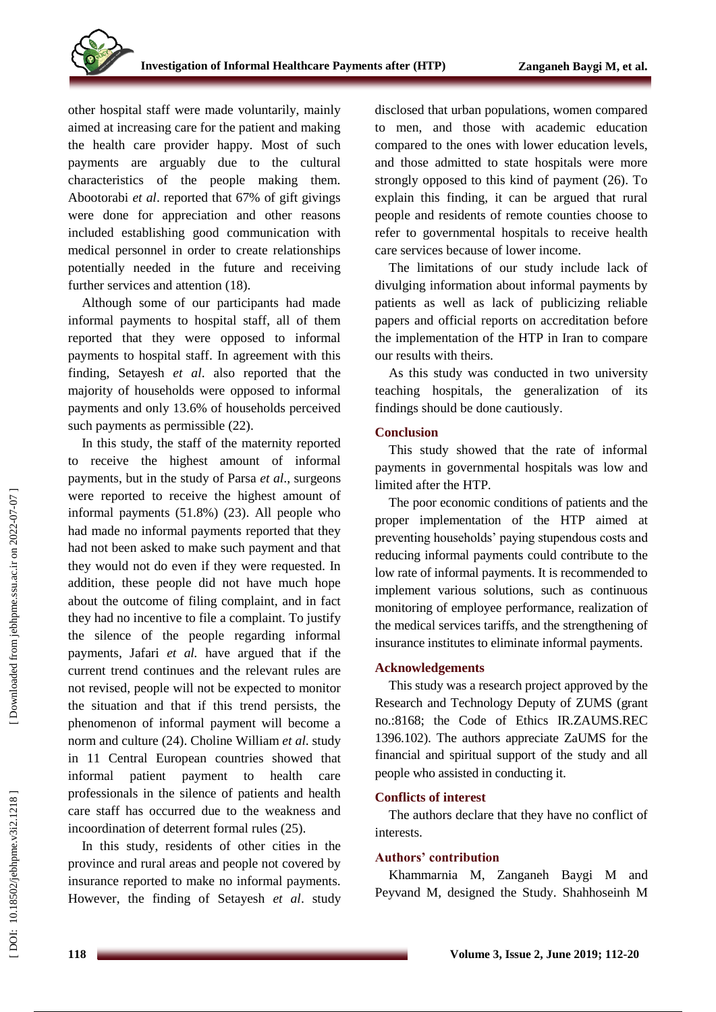other hospital staff were made voluntarily, mainly aimed at increasing care for the patient and making the health care provider happy. Most of such payments are arguably due to the cultural characteristics of the people making them. Abootorabi *et al*. reported that 67% of gift givings were done for appreciation and other reasons included establishing good communication with medical personnel in order to create relationships potentially needed in the future and receiving further services and attention (18).

Although some of our participants had made informal payments to hospital staff, all of them reported that they were opposed to informal payments to hospital staff. In agreement with this finding, Setayesh *et al*. also reported that the majority of households were opposed to informal payments and only 13.6% of households perceived such payments as permissible (22).

In this study, the staff of the maternity reported to receive the highest amount of informal payments, but in the study of Parsa *et al*., surgeons were reported to receive the highest amount of informal payments (51.8%) (23). All people who had made no informal payments reported that they had not been asked to make such payment and that they would not do even if they were requested. In addition, these people did not have much hope about the outcome of filing complaint, and in fact they had no incentive to file a complaint. To justify the silence of the people regarding informal payments, Jafari *et al.* have argued that if the current trend continues and the relevant rules are not revised, people will not be expected to monitor the situation and that if this trend persists, the phenomenon of informal payment will become a norm and culture (24). Choline William *et al*. study in 11 Central European countries showed that informal patient payment to health care professionals in the silence of patients and health care staff has occurred due to the weakness and incoordination of deterrent formal rules (25).

In this study, residents of other cities in the province and rural areas and people not covered by insurance reported to make no informal payments. However, the finding of Setayesh *et al*. study disclosed that urban populations, women compared to men, and those with academic education compared to the ones with lower education levels, and those admitted to state hospitals were more strongly opposed to this kind of payment (26). To explain this finding, it can be argued that rural people and residents of remote counties choose to refer to governmental hospitals to receive health care services because of lower income.

The limitations of our study include lack of divulging information about informal payments by patients as well as lack of publicizing reliable papers and official reports on accreditation before the implementation of the HTP in Iran to compare our results with theirs.

As this study was conducted in two university teaching hospitals, the generalization of its findings should be done cautiously.

## **Conclusion**

This study showed that the rate of informal payments in governmental hospitals was low and limited after the HTP.

The poor economic conditions of patients and the proper implementation of the HTP aimed at preventing households' paying stupendous costs and reducing informal payments could contribute to the low rate of informal payments. It is recommended to implement various solutions, such as continuous monitoring of employee performance, realization of the medical services tariffs, and the strengthening of insurance institutes to eliminate informal payments.

## **Acknowledgements**

This study was a research project approved by the Research and Technology Deputy of ZUMS (grant no.:8168; the Code of Ethics IR.ZAUMS.REC 1396.102). The authors appreciate ZaUMS for the financial and spiritual support of the study and all people who assisted in conducting it.

# **Conflicts of interest**

The authors declare that they have no conflict of interests .

# **Authors' contribution**

Khammarnia M, Zanganeh Baygi M and Peyvand M, designed the Study . Shahhoseinh M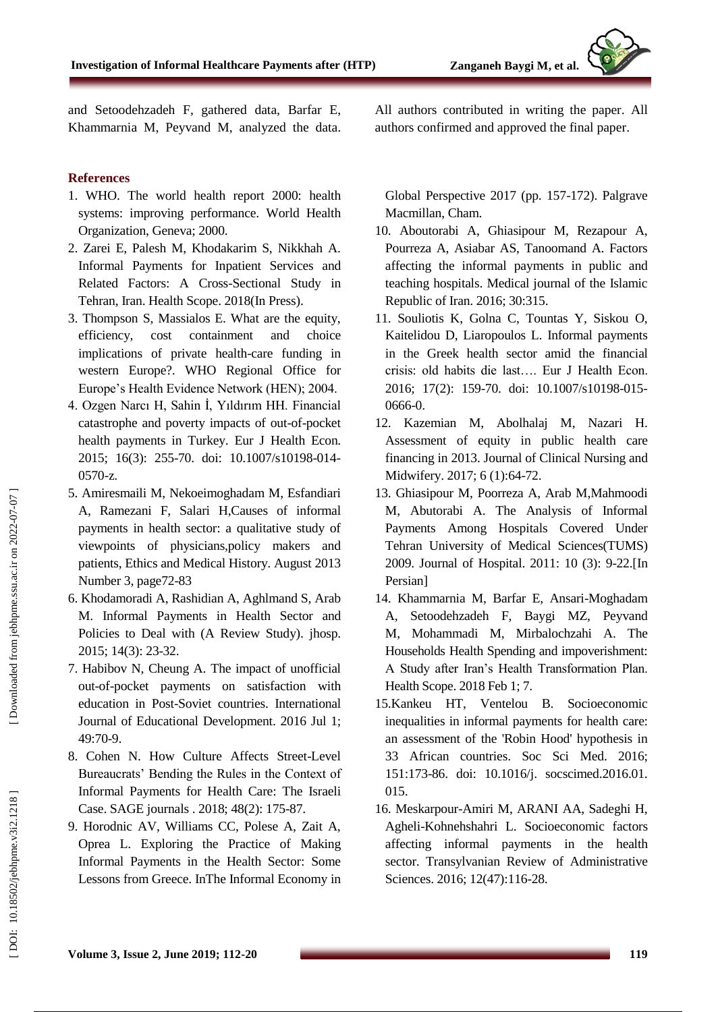and Setoodehzadeh F, gathered data, Barfar E, Khammarnia M, Peyvand M, analyzed the data.

## **Reference s**

- 1. WHO. The world health report 2000: health systems: improving performance. World Health Organization, Geneva; 2000.
- 2. Zarei E, Palesh M, Khodakarim S, Nikkhah A. Informal Payments for Inpatient Services and Related Factors: A Cross -Sectional Study in Tehran, Iran. Health Scope. 2018(In Press).
- 3. Thompson S, Massialos E. What are the equity, efficiency, cost containment and choice implications of private health -care funding in western Europe?. WHO Regional Office for Europe's Health Evidence Network (HEN); 2004.
- 4. Ozgen Narcı H, Sahin İ, Yıldırım HH. Financial catastrophe and poverty impacts of out -of-pocket health payments in Turkey. Eur J Health Econ. 2015; 16(3): 255-70. doi: 10.1007/s10198-014-0570 -z.
- 5. Amiresmaili M, Nekoeimoghadam M, Esfandiari A, Ramezani F, Salari H,Causes of informal payments in health sector: a qualitative study of viewpoints of physicians,policy makers and patients, Ethics and Medical History. August 2013 Number 3, page72 -83
- 6. Khodamoradi A, Rashidian A, Aghlmand S, Arab M. Informal Payments in Health Sector and Policies to Deal with (A Review Study). jhosp. 2015; 14(3): 23 -32.
- 7. Habibov N, Cheung A. The impact of unofficial out -of-pocket payments on satisfaction with education in Post -Soviet countries. International Journal of Educational Development. 2016 Jul 1; 49:70 -9.
- 8. Cohen N. How Culture Affects Street -Level Bureaucrats' Bending the Rules in the Context of Informal Payments for Health Care: The Israeli Case. SAGE journals . 2018; 48(2): 175 -87.
- 9. Horodnic AV, Williams CC, Polese A, Zait A, Oprea L. Exploring the Practice of Making Informal Payments in the Health Sector: Some Lessons from Greece. InThe Informal Economy in

All authors contributed in writing the paper. All authors confirmed and approved the final paper .

Global Perspective 2017 (pp. 157 - 172). Palgrave Macmillan, Cham.

- 10. Aboutorabi A, Ghiasipour M, Rezapour A, Pourreza A, Asiabar AS, Tanoomand A. Factors affecting the informal payments in public and teaching hospitals. Medical journal of the Islamic Republic of Iran. 2016; 30:315.
- 11. Souliotis K, Golna C, Tountas Y, Siskou O, Kaitelidou D, Liaropoulos L. Informal payments in the Greek health sector amid the financial crisis: old habits die last…. Eur J Health Econ. 2016; 17(2): 159-70. doi: 10.1007/s10198-015-0666 -0.
- 12. Kazemian M, Abolhalaj M, Nazari H. Assessment of equity in public health care financing in 2013. Journal of Clinical Nursing and Midwifery. 2017; 6 (1):64-72.
- 13. Ghiasipour M, Poorreza A, Arab M,Mahmoodi M, Abutorabi A. The Analysis of Informal Payments Among Hospitals Covered Under Tehran University of Medical Sciences(TUMS) 2009. Journal of Hospital. 2011: 10 (3): 9-22.[In Persian]
- 14. Khammarnia M, Barfar E, Ansari -Moghadam A, Setoodehzadeh F, Baygi MZ, Peyvand M, Mohammadi M, Mirbalochzahi A. The Households Health Spending and impoverishment: A Study after Iran's Health Transformation Plan. Health Scope. 2018 Feb 1; 7.
- 15.Kankeu HT, Ventelou B. Socioeconomic inequalities in informal payments for health care: an assessment of the 'Robin Hood' hypothesis in 33 African countries. Soc Sci Med. 2016; 151:173 -86. doi: 10.1016/j. socscimed.2016.01. 015.
- 16. Meskarpour -Amiri M, ARANI AA, Sadeghi H, Agheli -Kohnehshahri L. Socioeconomic factors affecting informal payments in the health sector. Transylvanian Review of Administrative Sciences. 2016; 12(47):116 -28.

DOI: 10.18502/jebhpme.v3i2.1218